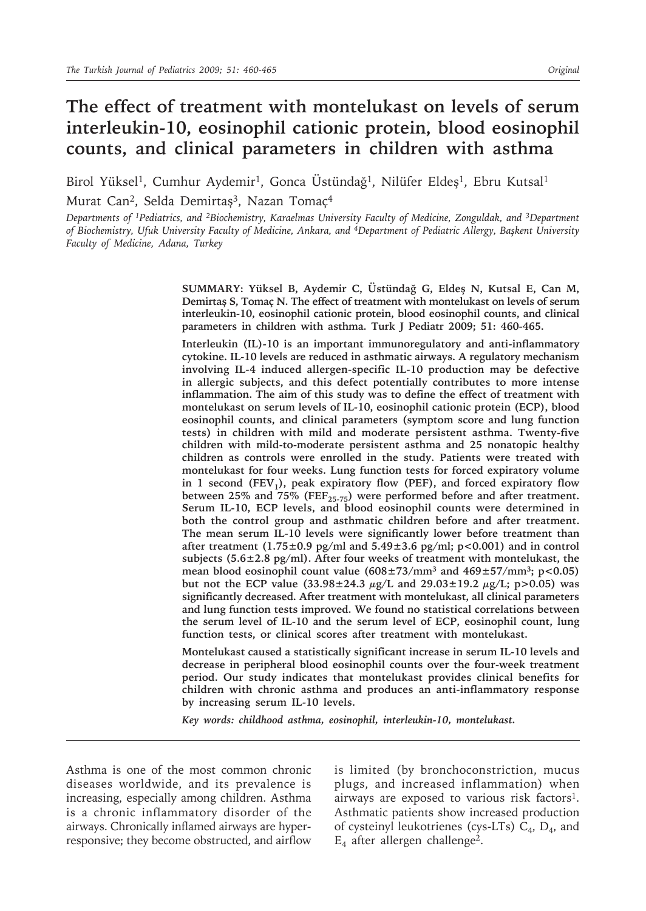# **The effect of treatment with montelukast on levels of serum interleukin-10, eosinophil cationic protein, blood eosinophil counts, and clinical parameters in children with asthma**

Birol Yüksel<sup>1</sup>, Cumhur Aydemir<sup>1</sup>, Gonca Üstündağ<sup>1</sup>, Nilüfer Eldeş<sup>1</sup>, Ebru Kutsal<sup>1</sup> Murat Can<sup>2</sup>, Selda Demirtaş<sup>3</sup>, Nazan Tomaç<sup>4</sup>

*Departments of 1Pediatrics, and 2Biochemistry, Karaelmas University Faculty of Medicine, Zonguldak, and 3Department of Biochemistry, Ufuk University Faculty of Medicine, Ankara, and 4Department of Pediatric Allergy, Başkent University Faculty of Medicine, Adana, Turkey*

> **SUMMARY: Yüksel B, Aydemir C, Üstündağ G, Eldeş N, Kutsal E, Can M, Demirtaş S, Tomaç N. The effect of treatment with montelukast on levels of serum interleukin-10, eosinophil cationic protein, blood eosinophil counts, and clinical parameters in children with asthma. Turk J Pediatr 2009; 51: 460-465.**

> **Interleukin (IL)-10 is an important immunoregulatory and anti-inflammatory cytokine. IL-10 levels are reduced in asthmatic airways. A regulatory mechanism involving IL-4 induced allergen-specific IL-10 production may be defective in allergic subjects, and this defect potentially contributes to more intense inflammation. The aim of this study was to define the effect of treatment with montelukast on serum levels of IL-10, eosinophil cationic protein (ECP), blood eosinophil counts, and clinical parameters (symptom score and lung function tests) in children with mild and moderate persistent asthma. Twenty-five children with mild-to-moderate persistent asthma and 25 nonatopic healthy children as controls were enrolled in the study. Patients were treated with montelukast for four weeks. Lung function tests for forced expiratory volume**  in 1 second (FEV<sub>1</sub>), peak expiratory flow (PEF), and forced expiratory flow between 25% and 75% (FEF<sub>25-75</sub>) were performed before and after treatment. **Serum IL-10, ECP levels, and blood eosinophil counts were determined in both the control group and asthmatic children before and after treatment. The mean serum IL-10 levels were significantly lower before treatment than after treatment (1.75±0.9 pg/ml and 5.49±3.6 pg/ml; p<0.001) and in control subjects (5.6±2.8 pg/ml). After four weeks of treatment with montelukast, the mean blood eosinophil count value (608±73/mm3 and 469±57/mm3; p<0.05) but not the ECP value (33.98±24.3 µg/L and 29.03±19.2 µg/L; p>0.05) was significantly decreased. After treatment with montelukast, all clinical parameters and lung function tests improved. We found no statistical correlations between the serum level of IL-10 and the serum level of ECP, eosinophil count, lung function tests, or clinical scores after treatment with montelukast.**

> **Montelukast caused a statistically significant increase in serum IL-10 levels and decrease in peripheral blood eosinophil counts over the four-week treatment period. Our study indicates that montelukast provides clinical benefits for children with chronic asthma and produces an anti-inflammatory response by increasing serum IL-10 levels.**

*Key words: childhood asthma, eosinophil, interleukin-10, montelukast.*

Asthma is one of the most common chronic diseases worldwide, and its prevalence is increasing, especially among children. Asthma is a chronic inflammatory disorder of the airways. Chronically inflamed airways are hyperresponsive; they become obstructed, and airflow

is limited (by bronchoconstriction, mucus plugs, and increased inflammation) when airways are exposed to various risk factors1. Asthmatic patients show increased production of cysteinyl leukotrienes (cys-LTs)  $C_4$ ,  $D_4$ , and  $E_4$  after allergen challenge<sup>2</sup>.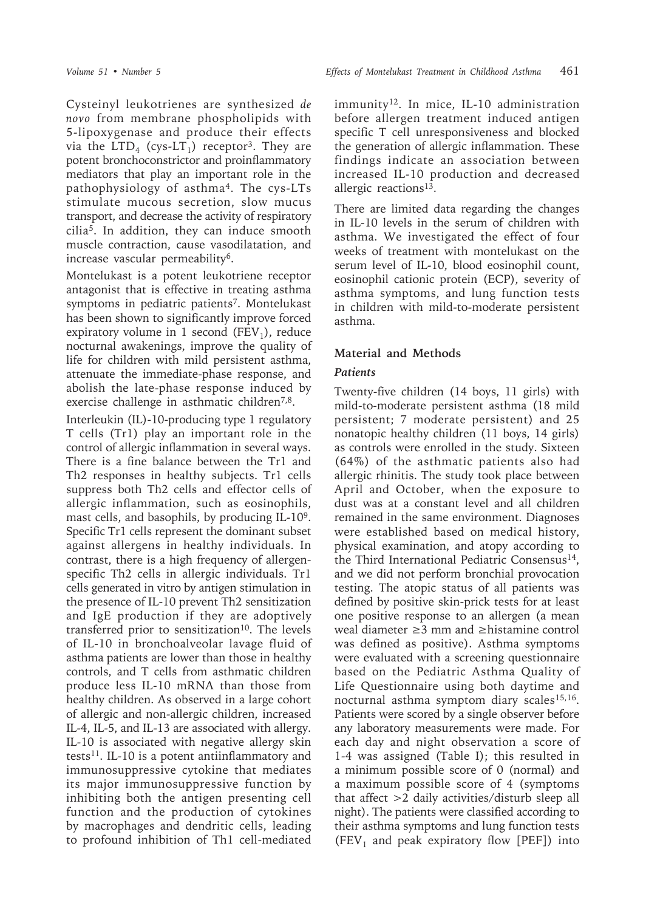Cysteinyl leukotrienes are synthesized *de novo* from membrane phospholipids with 5-lipoxygenase and produce their effects via the  $LTD_4$  (cys- $LT_1$ ) receptor<sup>3</sup>. They are potent bronchoconstrictor and proinflammatory mediators that play an important role in the pathophysiology of asthma4. The cys-LTs stimulate mucous secretion, slow mucus transport, and decrease the activity of respiratory cilia5. In addition, they can induce smooth muscle contraction, cause vasodilatation, and increase vascular permeability6.

Montelukast is a potent leukotriene receptor antagonist that is effective in treating asthma symptoms in pediatric patients<sup>7</sup>. Montelukast has been shown to significantly improve forced expiratory volume in 1 second  $(FEV_1)$ , reduce nocturnal awakenings, improve the quality of life for children with mild persistent asthma, attenuate the immediate-phase response, and abolish the late-phase response induced by exercise challenge in asthmatic children<sup>7,8</sup>.

Interleukin (IL)-10-producing type 1 regulatory T cells (Tr1) play an important role in the control of allergic inflammation in several ways. There is a fine balance between the Tr1 and Th2 responses in healthy subjects. Tr1 cells suppress both Th2 cells and effector cells of allergic inflammation, such as eosinophils, mast cells, and basophils, by producing IL-109. Specific Tr1 cells represent the dominant subset against allergens in healthy individuals. In contrast, there is a high frequency of allergenspecific Th2 cells in allergic individuals. Tr1 cells generated in vitro by antigen stimulation in the presence of IL-10 prevent Th2 sensitization and IgE production if they are adoptively transferred prior to sensitization<sup>10</sup>. The levels of IL-10 in bronchoalveolar lavage fluid of asthma patients are lower than those in healthy controls, and T cells from asthmatic children produce less IL-10 mRNA than those from healthy children. As observed in a large cohort of allergic and non-allergic children, increased IL-4, IL-5, and IL-13 are associated with allergy. IL-10 is associated with negative allergy skin tests11. IL-10 is a potent antiinflammatory and immunosuppressive cytokine that mediates its major immunosuppressive function by inhibiting both the antigen presenting cell function and the production of cytokines by macrophages and dendritic cells, leading to profound inhibition of Th1 cell-mediated

immunity12. In mice, IL-10 administration before allergen treatment induced antigen specific T cell unresponsiveness and blocked the generation of allergic inflammation. These findings indicate an association between increased IL-10 production and decreased allergic reactions13.

There are limited data regarding the changes in IL-10 levels in the serum of children with asthma. We investigated the effect of four weeks of treatment with montelukast on the serum level of IL-10, blood eosinophil count, eosinophil cationic protein (ECP), severity of asthma symptoms, and lung function tests in children with mild-to-moderate persistent asthma.

### **Material and Methods**

#### *Patients*

Twenty-five children (14 boys, 11 girls) with mild-to-moderate persistent asthma (18 mild persistent; 7 moderate persistent) and 25 nonatopic healthy children (11 boys, 14 girls) as controls were enrolled in the study. Sixteen (64%) of the asthmatic patients also had allergic rhinitis. The study took place between April and October, when the exposure to dust was at a constant level and all children remained in the same environment. Diagnoses were established based on medical history, physical examination, and atopy according to the Third International Pediatric Consensus $^{14}$ , and we did not perform bronchial provocation testing. The atopic status of all patients was defined by positive skin-prick tests for at least one positive response to an allergen (a mean weal diameter ≥3 mm and ≥histamine control was defined as positive). Asthma symptoms were evaluated with a screening questionnaire based on the Pediatric Asthma Quality of Life Questionnaire using both daytime and nocturnal asthma symptom diary scales<sup>15,16</sup>. Patients were scored by a single observer before any laboratory measurements were made. For each day and night observation a score of 1-4 was assigned (Table I); this resulted in a minimum possible score of 0 (normal) and a maximum possible score of 4 (symptoms that affect >2 daily activities/disturb sleep all night). The patients were classified according to their asthma symptoms and lung function tests  $(FEV<sub>1</sub>$  and peak expiratory flow [PEF]) into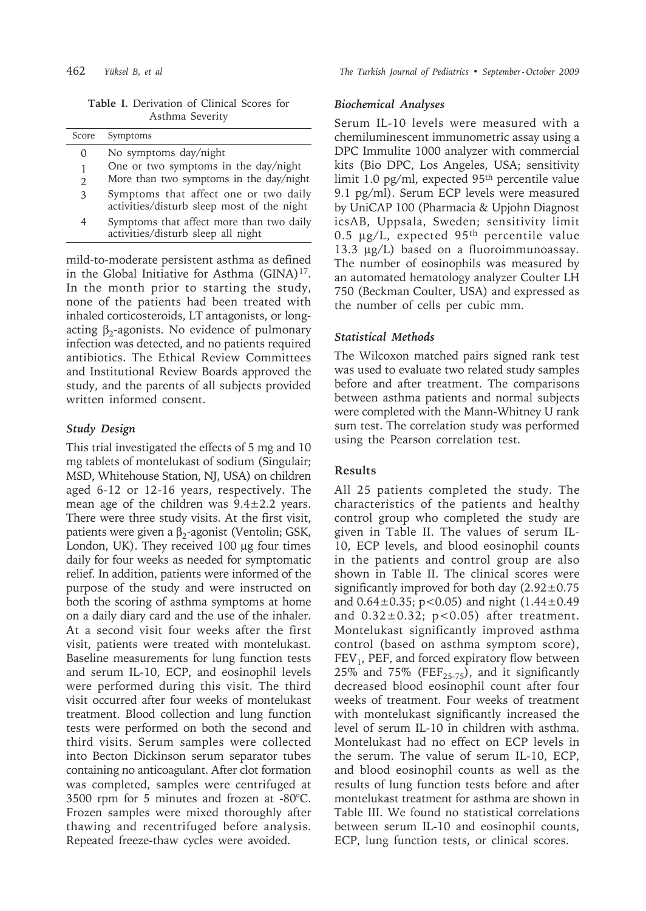**Table I.** Derivation of Clinical Scores for Asthma Severity

| Score          | Symptoms                                                                            |
|----------------|-------------------------------------------------------------------------------------|
| 0              | No symptoms day/night                                                               |
| 1              | One or two symptoms in the day/night                                                |
| $\overline{2}$ | More than two symptoms in the day/night                                             |
| 3              | Symptoms that affect one or two daily<br>activities/disturb sleep most of the night |
| 4              | Symptoms that affect more than two daily<br>activities/disturb sleep all night      |

mild-to-moderate persistent asthma as defined in the Global Initiative for Asthma (GINA)<sup>17</sup>. In the month prior to starting the study, none of the patients had been treated with inhaled corticosteroids, LT antagonists, or longacting  $β_2$ -agonists. No evidence of pulmonary infection was detected, and no patients required antibiotics. The Ethical Review Committees and Institutional Review Boards approved the study, and the parents of all subjects provided written informed consent.

### *Study Design*

This trial investigated the effects of 5 mg and 10 mg tablets of montelukast of sodium (Singulair; MSD, Whitehouse Station, NJ, USA) on children aged 6-12 or 12-16 years, respectively. The mean age of the children was  $9.4 \pm 2.2$  years. There were three study visits. At the first visit, patients were given a  $β_2$ -agonist (Ventolin; GSK, London, UK). They received 100 µg four times daily for four weeks as needed for symptomatic relief. In addition, patients were informed of the purpose of the study and were instructed on both the scoring of asthma symptoms at home on a daily diary card and the use of the inhaler. At a second visit four weeks after the first visit, patients were treated with montelukast. Baseline measurements for lung function tests and serum IL-10, ECP, and eosinophil levels were performed during this visit. The third visit occurred after four weeks of montelukast treatment. Blood collection and lung function tests were performed on both the second and third visits. Serum samples were collected into Becton Dickinson serum separator tubes containing no anticoagulant. After clot formation was completed, samples were centrifuged at 3500 rpm for 5 minutes and frozen at -80°C. Frozen samples were mixed thoroughly after thawing and recentrifuged before analysis. Repeated freeze-thaw cycles were avoided.

### *Biochemical Analyses*

Serum IL-10 levels were measured with a chemiluminescent immunometric assay using a DPC Immulite 1000 analyzer with commercial kits (Bio DPC, Los Angeles, USA; sensitivity limit 1.0 pg/ml, expected 95th percentile value 9.1 pg/ml). Serum ECP levels were measured by UniCAP 100 (Pharmacia & Upjohn Diagnost icsAB, Uppsala, Sweden; sensitivity limit 0.5  $\mu$ g/L, expected 95<sup>th</sup> percentile value 13.3 µg/L) based on a fluoroimmunoassay. The number of eosinophils was measured by an automated hematology analyzer Coulter LH 750 (Beckman Coulter, USA) and expressed as the number of cells per cubic mm.

### *Statistical Methods*

The Wilcoxon matched pairs signed rank test was used to evaluate two related study samples before and after treatment. The comparisons between asthma patients and normal subjects were completed with the Mann-Whitney U rank sum test. The correlation study was performed using the Pearson correlation test.

## **Results**

All 25 patients completed the study. The characteristics of the patients and healthy control group who completed the study are given in Table II. The values of serum IL-10, ECP levels, and blood eosinophil counts in the patients and control group are also shown in Table II. The clinical scores were significantly improved for both day  $(2.92 \pm 0.75)$ and  $0.64 \pm 0.35$ ; p<0.05) and night  $(1.44 \pm 0.49)$ and  $0.32 \pm 0.32$ ; p<0.05) after treatment. Montelukast significantly improved asthma control (based on asthma symptom score),  $FEV<sub>1</sub>$ , PEF, and forced expiratory flow between 25% and 75% (FEF<sub>25-75</sub>), and it significantly decreased blood eosinophil count after four weeks of treatment. Four weeks of treatment with montelukast significantly increased the level of serum IL-10 in children with asthma. Montelukast had no effect on ECP levels in the serum. The value of serum IL-10, ECP, and blood eosinophil counts as well as the results of lung function tests before and after montelukast treatment for asthma are shown in Table III. We found no statistical correlations between serum IL-10 and eosinophil counts, ECP, lung function tests, or clinical scores.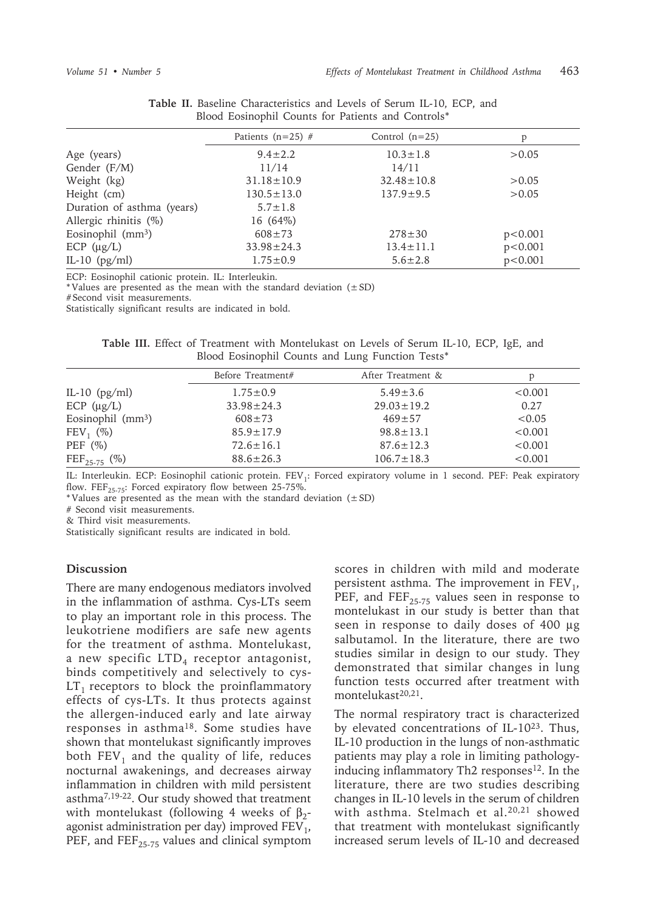|                            | Patients ( $n=25$ ) # | Control $(n=25)$ | P         |
|----------------------------|-----------------------|------------------|-----------|
| Age (years)                | $9.4 \pm 2.2$         | $10.3 \pm 1.8$   | > 0.05    |
| Gender (F/M)               | 11/14                 | 14/11            |           |
| Weight (kg)                | $31.18 \pm 10.9$      | $32.48 \pm 10.8$ | > 0.05    |
| Height (cm)                | $130.5 \pm 13.0$      | $137.9 \pm 9.5$  | > 0.05    |
| Duration of asthma (years) | $5.7 \pm 1.8$         |                  |           |
| Allergic rhinitis (%)      | $16(64\%)$            |                  |           |
| Eosinophil $(mm3)$         | $608 \pm 73$          | $278 \pm 30$     | p<0.001   |
| $ECP$ ( $\mu$ g/L)         | $33.98 \pm 24.3$      | $13.4 \pm 11.1$  | p < 0.001 |
| IL-10 $(pg/ml)$            | $1.75 \pm 0.9$        | $5.6 \pm 2.8$    | p < 0.001 |

**Table II.** Baseline Characteristics and Levels of Serum IL-10, ECP, and Blood Eosinophil Counts for Patients and Controls\*

ECP: Eosinophil cationic protein. IL: Interleukin.

\* Values are presented as the mean with the standard deviation  $(\pm SD)$ 

# Second visit measurements.

Statistically significant results are indicated in bold.

**Table III.** Effect of Treatment with Montelukast on Levels of Serum IL-10, ECP, IgE, and Blood Eosinophil Counts and Lung Function Tests\*

|                        | Before Treatment# | After Treatment & | D       |
|------------------------|-------------------|-------------------|---------|
| IL-10 $(pg/ml)$        | $1.75 \pm 0.9$    | $5.49 \pm 3.6$    | < 0.001 |
| $ECP (\mu g/L)$        | $33.98 \pm 24.3$  | $29.03 \pm 19.2$  | 0.27    |
| Eosinophil $(mm3)$     | $608 \pm 73$      | $469 \pm 57$      | < 0.05  |
| $FEV_1$ (%)            | $85.9 \pm 17.9$   | $98.8 \pm 13.1$   | < 0.001 |
| PEF $(\%)$             | $72.6 \pm 16.1$   | $87.6 \pm 12.3$   | < 0.001 |
| $\rm{FEF}_{25-75}$ (%) | $88.6 \pm 26.3$   | $106.7 \pm 18.3$  | < 0.001 |

IL: Interleukin. ECP: Eosinophil cationic protein. FEV<sub>1</sub>: Forced expiratory volume in 1 second. PEF: Peak expiratory flow. FEF<sub>25-75</sub>: Forced expiratory flow between 25-75%.

\*Values are presented as the mean with the standard deviation  $(\pm SD)$ 

# Second visit measurements.

& Third visit measurements.

Statistically significant results are indicated in bold.

### **Discussion**

There are many endogenous mediators involved in the inflammation of asthma. Cys-LTs seem to play an important role in this process. The leukotriene modifiers are safe new agents for the treatment of asthma. Montelukast, a new specific  $LTD_4$  receptor antagonist, binds competitively and selectively to cys- $LT<sub>1</sub>$  receptors to block the proinflammatory effects of cys-LTs. It thus protects against the allergen-induced early and late airway responses in asthma18. Some studies have shown that montelukast significantly improves both  $FEV<sub>1</sub>$  and the quality of life, reduces nocturnal awakenings, and decreases airway inflammation in children with mild persistent asthma7,19-22. Our study showed that treatment with montelukast (following 4 weeks of  $\beta_2$ agonist administration per day) improved  $FEV<sub>1</sub>$ , PEF, and  $FEF_{25-75}$  values and clinical symptom scores in children with mild and moderate persistent asthma. The improvement in  $FEV<sub>1</sub>$ , PEF, and  $FEF_{25-75}$  values seen in response to montelukast in our study is better than that seen in response to daily doses of 400 µg salbutamol. In the literature, there are two studies similar in design to our study. They demonstrated that similar changes in lung function tests occurred after treatment with montelukast<sup>20,21</sup>.

The normal respiratory tract is characterized by elevated concentrations of IL-1023. Thus, IL-10 production in the lungs of non-asthmatic patients may play a role in limiting pathologyinducing inflammatory Th2 responses<sup>12</sup>. In the literature, there are two studies describing changes in IL-10 levels in the serum of children with asthma. Stelmach et al.<sup>20,21</sup> showed that treatment with montelukast significantly increased serum levels of IL-10 and decreased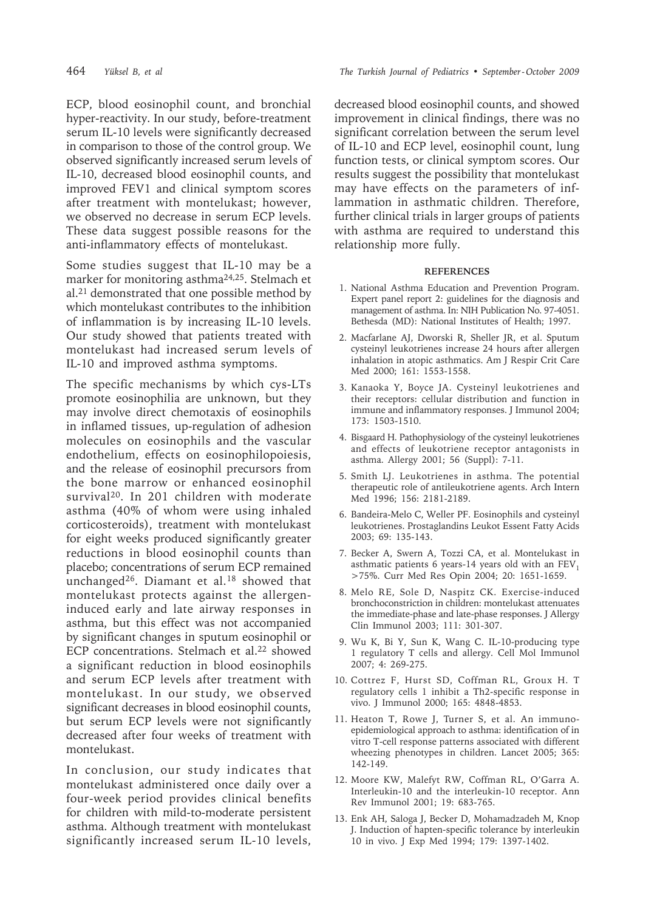ECP, blood eosinophil count, and bronchial hyper-reactivity. In our study, before-treatment serum IL-10 levels were significantly decreased in comparison to those of the control group. We observed significantly increased serum levels of IL-10, decreased blood eosinophil counts, and improved FEV1 and clinical symptom scores after treatment with montelukast; however, we observed no decrease in serum ECP levels. These data suggest possible reasons for the anti-inflammatory effects of montelukast.

Some studies suggest that IL-10 may be a marker for monitoring asthma24,25. Stelmach et al.21 demonstrated that one possible method by which montelukast contributes to the inhibition of inflammation is by increasing IL-10 levels. Our study showed that patients treated with montelukast had increased serum levels of IL-10 and improved asthma symptoms.

The specific mechanisms by which cys-LTs promote eosinophilia are unknown, but they may involve direct chemotaxis of eosinophils in inflamed tissues, up-regulation of adhesion molecules on eosinophils and the vascular endothelium, effects on eosinophilopoiesis, and the release of eosinophil precursors from the bone marrow or enhanced eosinophil survival<sup>20</sup>. In 201 children with moderate asthma (40% of whom were using inhaled corticosteroids), treatment with montelukast for eight weeks produced significantly greater reductions in blood eosinophil counts than placebo; concentrations of serum ECP remained unchanged<sup>26</sup>. Diamant et al.<sup>18</sup> showed that montelukast protects against the allergeninduced early and late airway responses in asthma, but this effect was not accompanied by significant changes in sputum eosinophil or ECP concentrations. Stelmach et al.<sup>22</sup> showed a significant reduction in blood eosinophils and serum ECP levels after treatment with montelukast. In our study, we observed significant decreases in blood eosinophil counts, but serum ECP levels were not significantly decreased after four weeks of treatment with montelukast.

In conclusion, our study indicates that montelukast administered once daily over a four-week period provides clinical benefits for children with mild-to-moderate persistent asthma. Although treatment with montelukast significantly increased serum IL-10 levels,

decreased blood eosinophil counts, and showed improvement in clinical findings, there was no significant correlation between the serum level of IL-10 and ECP level, eosinophil count, lung function tests, or clinical symptom scores. Our results suggest the possibility that montelukast may have effects on the parameters of inflammation in asthmatic children. Therefore, further clinical trials in larger groups of patients with asthma are required to understand this relationship more fully.

#### **REFERENCES**

- 1. National Asthma Education and Prevention Program. Expert panel report 2: guidelines for the diagnosis and management of asthma. In: NIH Publication No. 97-4051. Bethesda (MD): National Institutes of Health; 1997.
- 2. Macfarlane AJ, Dworski R, Sheller JR, et al. Sputum cysteinyl leukotrienes increase 24 hours after allergen inhalation in atopic asthmatics. Am J Respir Crit Care Med 2000; 161: 1553-1558.
- 3. Kanaoka Y, Boyce JA. Cysteinyl leukotrienes and their receptors: cellular distribution and function in immune and inflammatory responses. J Immunol 2004; 173: 1503-1510.
- 4. Bisgaard H. Pathophysiology of the cysteinyl leukotrienes and effects of leukotriene receptor antagonists in asthma. Allergy 2001; 56 (Suppl): 7-11.
- 5. Smith LJ. Leukotrienes in asthma. The potential therapeutic role of antileukotriene agents. Arch Intern Med 1996; 156: 2181-2189.
- 6. Bandeira-Melo C, Weller PF. Eosinophils and cysteinyl leukotrienes. Prostaglandins Leukot Essent Fatty Acids 2003; 69: 135-143.
- 7. Becker A, Swern A, Tozzi CA, et al. Montelukast in asthmatic patients 6 years-14 years old with an  $FEV<sub>1</sub>$ >75%. Curr Med Res Opin 2004; 20: 1651-1659.
- 8. Melo RE, Sole D, Naspitz CK. Exercise-induced bronchoconstriction in children: montelukast attenuates the immediate-phase and late-phase responses. J Allergy Clin Immunol 2003; 111: 301-307.
- 9. Wu K, Bi Y, Sun K, Wang C. IL-10-producing type 1 regulatory T cells and allergy. Cell Mol Immunol 2007; 4: 269-275.
- 10. Cottrez F, Hurst SD, Coffman RL, Groux H. T regulatory cells 1 inhibit a Th2-specific response in vivo. J Immunol 2000; 165: 4848-4853.
- 11. Heaton T, Rowe J, Turner S, et al. An immunoepidemiological approach to asthma: identification of in vitro T-cell response patterns associated with different wheezing phenotypes in children. Lancet 2005; 365: 142-149.
- 12. Moore KW, Malefyt RW, Coffman RL, O'Garra A. Interleukin-10 and the interleukin-10 receptor. Ann Rev Immunol 2001; 19: 683-765.
- 13. Enk AH, Saloga J, Becker D, Mohamadzadeh M, Knop J. Induction of hapten-specific tolerance by interleukin 10 in vivo. J Exp Med 1994; 179: 1397-1402.